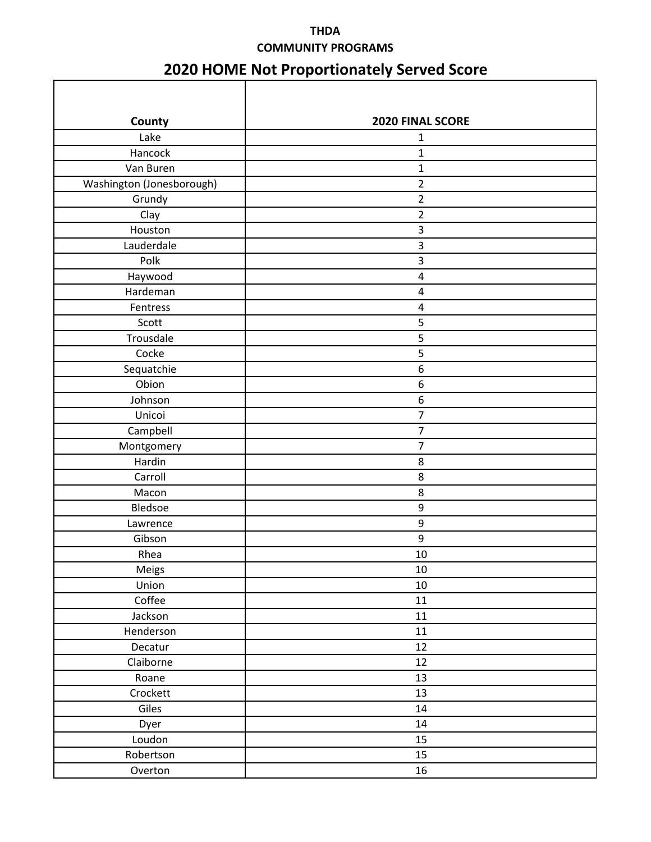## **THDA COMMUNITY PROGRAMS**

## **2020 HOME Not Proportionately Served Score**

| County                    | 2020 FINAL SCORE |  |
|---------------------------|------------------|--|
| Lake                      | $\mathbf{1}$     |  |
| Hancock                   | $\mathbf 1$      |  |
| Van Buren                 | $\mathbf 1$      |  |
| Washington (Jonesborough) | $\overline{2}$   |  |
| Grundy                    | $\overline{2}$   |  |
| Clay                      | $\overline{2}$   |  |
| Houston                   | $\mathbf{3}$     |  |
| Lauderdale                | $\mathsf{3}$     |  |
| Polk                      | $\mathsf{3}$     |  |
| Haywood                   | $\sqrt{4}$       |  |
| Hardeman                  | $\sqrt{4}$       |  |
| Fentress                  | 4                |  |
| Scott                     | 5                |  |
| Trousdale                 | 5                |  |
| Cocke                     | $\mathsf S$      |  |
| Sequatchie                | $\boldsymbol{6}$ |  |
| Obion                     | 6                |  |
| Johnson                   | $\boldsymbol{6}$ |  |
| Unicoi                    | $\overline{7}$   |  |
| Campbell                  | $\overline{7}$   |  |
| Montgomery                | $\overline{7}$   |  |
| Hardin                    | 8                |  |
| Carroll                   | $\bf 8$          |  |
| Macon                     | 8                |  |
| Bledsoe                   | $\boldsymbol{9}$ |  |
| Lawrence                  | $\boldsymbol{9}$ |  |
| Gibson                    | 9                |  |
| Rhea                      | 10               |  |
| Meigs                     | $10\,$           |  |
| Union                     | $10\,$           |  |
| Coffee                    | 11               |  |
| Jackson                   | 11               |  |
| Henderson                 | 11               |  |
| Decatur                   | 12               |  |
| Claiborne                 | 12               |  |
| Roane                     | 13               |  |
| Crockett                  | 13               |  |
| Giles                     | 14               |  |
| Dyer                      | $14\,$           |  |
| Loudon                    | 15               |  |
| Robertson                 | 15               |  |
| Overton                   | 16               |  |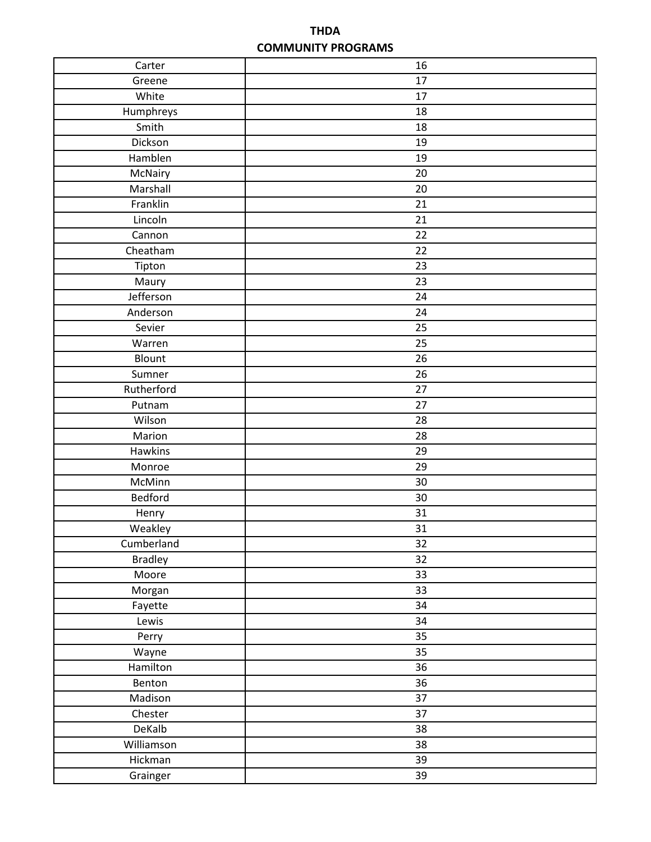## **THDA COMMUNITY PROGRAMS**

| 17<br>Greene<br>White<br>17<br>Humphreys<br>18<br>Smith<br>18<br>Dickson<br>19<br>Hamblen<br>19<br>McNairy<br>20<br>Marshall<br>20<br>Franklin<br>21<br>Lincoln<br>21<br>Cannon<br>22<br>22<br>Cheatham<br>23<br>Tipton<br>23<br>Maury<br>Jefferson<br>24<br>Anderson<br>24<br>Sevier<br>25<br>25<br>Warren<br>Blount<br>26<br>Sumner<br>26<br>Rutherford<br>27<br>27<br>Putnam<br>Wilson<br>28<br>Marion<br>28<br><b>Hawkins</b><br>29<br>Monroe<br>29<br>McMinn<br>30<br>Bedford<br>30<br>31<br>Henry<br>31<br>Weakley<br>Cumberland<br>32<br><b>Bradley</b><br>32<br>Moore<br>33<br>33<br>Morgan<br>34<br>Fayette<br>34<br>Lewis<br>35<br>Perry<br>35<br>Wayne<br>Hamilton<br>36<br>36<br>Benton<br>Madison<br>37<br>Chester<br>37<br>DeKalb<br>38<br>Williamson<br>38<br>Hickman<br>39<br>Grainger<br>39 | Carter | 16 |
|--------------------------------------------------------------------------------------------------------------------------------------------------------------------------------------------------------------------------------------------------------------------------------------------------------------------------------------------------------------------------------------------------------------------------------------------------------------------------------------------------------------------------------------------------------------------------------------------------------------------------------------------------------------------------------------------------------------------------------------------------------------------------------------------------------------|--------|----|
|                                                                                                                                                                                                                                                                                                                                                                                                                                                                                                                                                                                                                                                                                                                                                                                                              |        |    |
|                                                                                                                                                                                                                                                                                                                                                                                                                                                                                                                                                                                                                                                                                                                                                                                                              |        |    |
|                                                                                                                                                                                                                                                                                                                                                                                                                                                                                                                                                                                                                                                                                                                                                                                                              |        |    |
|                                                                                                                                                                                                                                                                                                                                                                                                                                                                                                                                                                                                                                                                                                                                                                                                              |        |    |
|                                                                                                                                                                                                                                                                                                                                                                                                                                                                                                                                                                                                                                                                                                                                                                                                              |        |    |
|                                                                                                                                                                                                                                                                                                                                                                                                                                                                                                                                                                                                                                                                                                                                                                                                              |        |    |
|                                                                                                                                                                                                                                                                                                                                                                                                                                                                                                                                                                                                                                                                                                                                                                                                              |        |    |
|                                                                                                                                                                                                                                                                                                                                                                                                                                                                                                                                                                                                                                                                                                                                                                                                              |        |    |
|                                                                                                                                                                                                                                                                                                                                                                                                                                                                                                                                                                                                                                                                                                                                                                                                              |        |    |
|                                                                                                                                                                                                                                                                                                                                                                                                                                                                                                                                                                                                                                                                                                                                                                                                              |        |    |
|                                                                                                                                                                                                                                                                                                                                                                                                                                                                                                                                                                                                                                                                                                                                                                                                              |        |    |
|                                                                                                                                                                                                                                                                                                                                                                                                                                                                                                                                                                                                                                                                                                                                                                                                              |        |    |
|                                                                                                                                                                                                                                                                                                                                                                                                                                                                                                                                                                                                                                                                                                                                                                                                              |        |    |
|                                                                                                                                                                                                                                                                                                                                                                                                                                                                                                                                                                                                                                                                                                                                                                                                              |        |    |
|                                                                                                                                                                                                                                                                                                                                                                                                                                                                                                                                                                                                                                                                                                                                                                                                              |        |    |
|                                                                                                                                                                                                                                                                                                                                                                                                                                                                                                                                                                                                                                                                                                                                                                                                              |        |    |
|                                                                                                                                                                                                                                                                                                                                                                                                                                                                                                                                                                                                                                                                                                                                                                                                              |        |    |
|                                                                                                                                                                                                                                                                                                                                                                                                                                                                                                                                                                                                                                                                                                                                                                                                              |        |    |
|                                                                                                                                                                                                                                                                                                                                                                                                                                                                                                                                                                                                                                                                                                                                                                                                              |        |    |
|                                                                                                                                                                                                                                                                                                                                                                                                                                                                                                                                                                                                                                                                                                                                                                                                              |        |    |
|                                                                                                                                                                                                                                                                                                                                                                                                                                                                                                                                                                                                                                                                                                                                                                                                              |        |    |
|                                                                                                                                                                                                                                                                                                                                                                                                                                                                                                                                                                                                                                                                                                                                                                                                              |        |    |
|                                                                                                                                                                                                                                                                                                                                                                                                                                                                                                                                                                                                                                                                                                                                                                                                              |        |    |
|                                                                                                                                                                                                                                                                                                                                                                                                                                                                                                                                                                                                                                                                                                                                                                                                              |        |    |
|                                                                                                                                                                                                                                                                                                                                                                                                                                                                                                                                                                                                                                                                                                                                                                                                              |        |    |
|                                                                                                                                                                                                                                                                                                                                                                                                                                                                                                                                                                                                                                                                                                                                                                                                              |        |    |
|                                                                                                                                                                                                                                                                                                                                                                                                                                                                                                                                                                                                                                                                                                                                                                                                              |        |    |
|                                                                                                                                                                                                                                                                                                                                                                                                                                                                                                                                                                                                                                                                                                                                                                                                              |        |    |
|                                                                                                                                                                                                                                                                                                                                                                                                                                                                                                                                                                                                                                                                                                                                                                                                              |        |    |
|                                                                                                                                                                                                                                                                                                                                                                                                                                                                                                                                                                                                                                                                                                                                                                                                              |        |    |
|                                                                                                                                                                                                                                                                                                                                                                                                                                                                                                                                                                                                                                                                                                                                                                                                              |        |    |
|                                                                                                                                                                                                                                                                                                                                                                                                                                                                                                                                                                                                                                                                                                                                                                                                              |        |    |
|                                                                                                                                                                                                                                                                                                                                                                                                                                                                                                                                                                                                                                                                                                                                                                                                              |        |    |
|                                                                                                                                                                                                                                                                                                                                                                                                                                                                                                                                                                                                                                                                                                                                                                                                              |        |    |
|                                                                                                                                                                                                                                                                                                                                                                                                                                                                                                                                                                                                                                                                                                                                                                                                              |        |    |
|                                                                                                                                                                                                                                                                                                                                                                                                                                                                                                                                                                                                                                                                                                                                                                                                              |        |    |
|                                                                                                                                                                                                                                                                                                                                                                                                                                                                                                                                                                                                                                                                                                                                                                                                              |        |    |
|                                                                                                                                                                                                                                                                                                                                                                                                                                                                                                                                                                                                                                                                                                                                                                                                              |        |    |
|                                                                                                                                                                                                                                                                                                                                                                                                                                                                                                                                                                                                                                                                                                                                                                                                              |        |    |
|                                                                                                                                                                                                                                                                                                                                                                                                                                                                                                                                                                                                                                                                                                                                                                                                              |        |    |
|                                                                                                                                                                                                                                                                                                                                                                                                                                                                                                                                                                                                                                                                                                                                                                                                              |        |    |
|                                                                                                                                                                                                                                                                                                                                                                                                                                                                                                                                                                                                                                                                                                                                                                                                              |        |    |
|                                                                                                                                                                                                                                                                                                                                                                                                                                                                                                                                                                                                                                                                                                                                                                                                              |        |    |
|                                                                                                                                                                                                                                                                                                                                                                                                                                                                                                                                                                                                                                                                                                                                                                                                              |        |    |
|                                                                                                                                                                                                                                                                                                                                                                                                                                                                                                                                                                                                                                                                                                                                                                                                              |        |    |
|                                                                                                                                                                                                                                                                                                                                                                                                                                                                                                                                                                                                                                                                                                                                                                                                              |        |    |